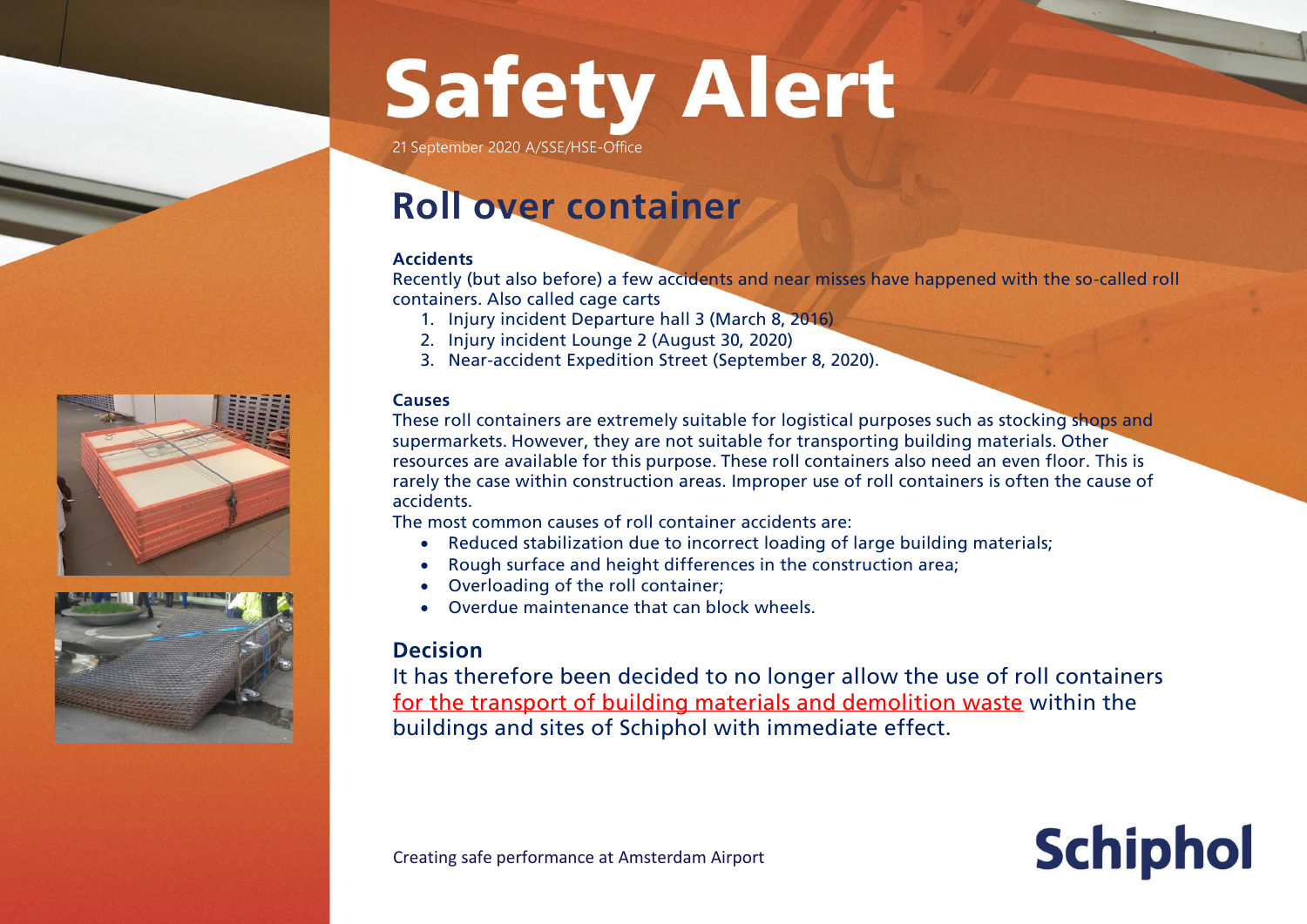# **Safety Alert**

21 September 2020 A/SSE/HSE-Office

### **Roll over container**

#### **Accidents**

Recently (but also before) a few accidents and near misses have happened with the so-called roll containers. Also called cage carts

- 1. Injury incident Departure hall 3 (March 8, 2016)
- 2. Injury incident Lounge 2 (August 30, 2020)
- 3. Near-accident Expedition Street (September 8, 2020).

### **Causes**

These roll containers are extremely suitable for logistical purposes such as stocking shops and supermarkets. However, they are not suitable for transporting building materials. Other resources are available for this purpose. These roll containers also need an even floor. This is rarely the case within construction areas. Improper use of roll containers is often the cause of accidents.

The most common causes of roll container accidents are:

- Reduced stabilization due to incorrect loading of large building materials;
- Rough surface and height differences in the construction area;
- Overloading of the roll container;
- Overdue maintenance that can block wheels.

### **Decision**

It has therefore been decided to no longer allow the use of roll containers for the transport of building materials and demolition waste within the buildings and sites of Schiphol with immediate effect.

**Schiphol** 





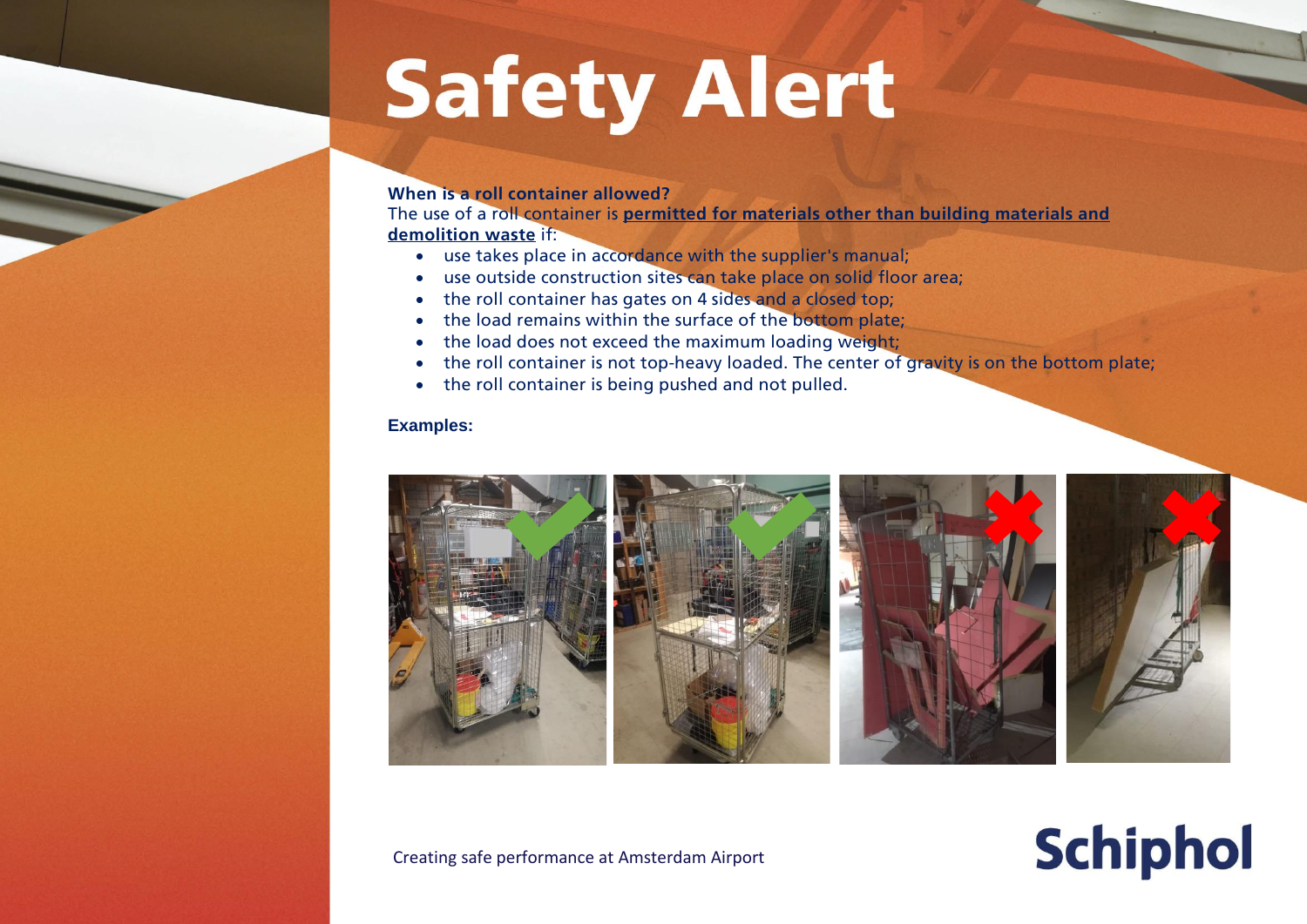## **Safety Alert**

#### **When is a roll container allowed?**

The use of a roll container is **permitted for materials other than building materials and demolition waste** if:

- use takes place in accordance with the supplier's manual;
- use outside construction sites can take place on solid floor area;
- the roll container has gates on 4 sides and a closed top;
- the load remains within the surface of the bottom plate;
- the load does not exceed the maximum loading weight;
- the roll container is not top-heavy loaded. The center of gravity is on the bottom plate;
- the roll container is being pushed and not pulled.

#### **Examples:**



### **Schiphol**

Creating safe performance at Amsterdam Airport